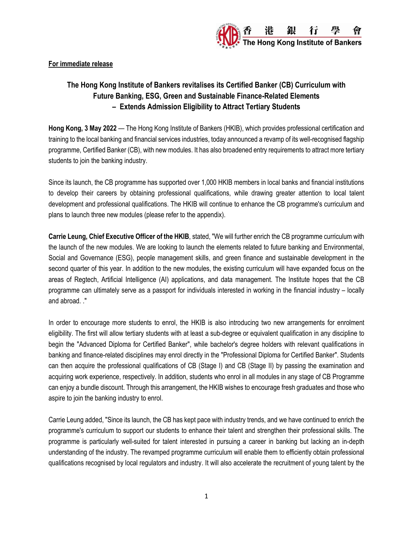

**For immediate release**

# **The Hong Kong Institute of Bankers revitalises its Certified Banker (CB) Curriculum with Future Banking, ESG, Green and Sustainable Finance-Related Elements – Extends Admission Eligibility to Attract Tertiary Students**

**Hong Kong, 3 May 2022** — The Hong Kong Institute of Bankers (HKIB), which provides professional certification and training to the local banking and financial services industries, today announced a revamp of its well-recognised flagship programme, Certified Banker (CB), with new modules. It has also broadened entry requirements to attract more tertiary students to join the banking industry.

Since its launch, the CB programme has supported over 1,000 HKIB members in local banks and financial institutions to develop their careers by obtaining professional qualifications, while drawing greater attention to local talent development and professional qualifications. The HKIB will continue to enhance the CB programme's curriculum and plans to launch three new modules (please refer to the appendix).

**Carrie Leung, Chief Executive Officer of the HKIB**, stated, "We will further enrich the CB programme curriculum with the launch of the new modules. We are looking to launch the elements related to future banking and Environmental, Social and Governance (ESG), people management skills, and green finance and sustainable development in the second quarter of this year. In addition to the new modules, the existing curriculum will have expanded focus on the areas of Regtech, Artificial Intelligence (AI) applications, and data management. The Institute hopes that the CB programme can ultimately serve as a passport for individuals interested in working in the financial industry – locally and abroad. ."

In order to encourage more students to enrol, the HKIB is also introducing two new arrangements for enrolment eligibility. The first will allow tertiary students with at least a sub-degree or equivalent qualification in any discipline to begin the "Advanced Diploma for Certified Banker", while bachelor's degree holders with relevant qualifications in banking and finance-related disciplines may enrol directly in the "Professional Diploma for Certified Banker". Students can then acquire the professional qualifications of CB (Stage I) and CB (Stage II) by passing the examination and acquiring work experience, respectively. In addition, students who enrol in all modules in any stage of CB Programme can enjoy a bundle discount. Through this arrangement, the HKIB wishes to encourage fresh graduates and those who aspire to join the banking industry to enrol.

Carrie Leung added, "Since its launch, the CB has kept pace with industry trends, and we have continued to enrich the programme's curriculum to support our students to enhance their talent and strengthen their professional skills. The programme is particularly well-suited for talent interested in pursuing a career in banking but lacking an in-depth understanding of the industry. The revamped programme curriculum will enable them to efficiently obtain professional qualifications recognised by local regulators and industry. It will also accelerate the recruitment of young talent by the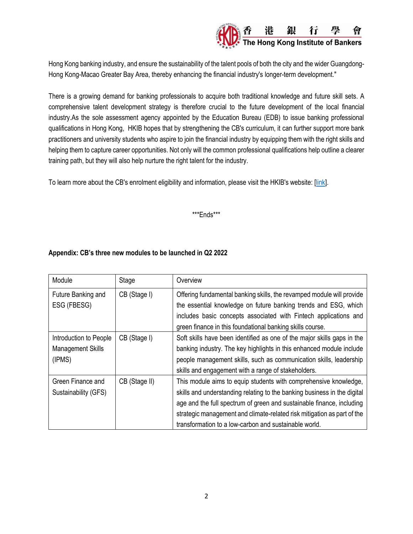

Hong Kong banking industry, and ensure the sustainability of the talent pools of both the city and the wider Guangdong-Hong Kong-Macao Greater Bay Area, thereby enhancing the financial industry's longer-term development."

There is a growing demand for banking professionals to acquire both traditional knowledge and future skill sets. A comprehensive talent development strategy is therefore crucial to the future development of the local financial industry.As the sole assessment agency appointed by the Education Bureau (EDB) to issue banking professional qualifications in Hong Kong, HKIB hopes that by strengthening the CB's curriculum, it can further support more bank practitioners and university students who aspire to join the financial industry by equipping them with the right skills and helping them to capture career opportunities. Not only will the common professional qualifications help outline a clearer training path, but they will also help nurture the right talent for the industry.

To learn more about the CB's enrolment eligibility and information, please visit the HKIB's website: [\[link\]](https://member.hkib.org/page/73).

## \*\*\*Ends\*\*\*

## **Appendix: CB's three new modules to be launched in Q2 2022**

| Module                                                | Stage         | Overview                                                                                                                                                                                                                                                                                                                                                  |
|-------------------------------------------------------|---------------|-----------------------------------------------------------------------------------------------------------------------------------------------------------------------------------------------------------------------------------------------------------------------------------------------------------------------------------------------------------|
| Future Banking and<br>ESG (FBESG)                     | CB (Stage I)  | Offering fundamental banking skills, the revamped module will provide<br>the essential knowledge on future banking trends and ESG, which<br>includes basic concepts associated with Fintech applications and<br>green finance in this foundational banking skills course.                                                                                 |
| Introduction to People<br>Management Skills<br>(IPMS) | CB (Stage I)  | Soft skills have been identified as one of the major skills gaps in the<br>banking industry. The key highlights in this enhanced module include<br>people management skills, such as communication skills, leadership<br>skills and engagement with a range of stakeholders.                                                                              |
| Green Finance and<br>Sustainability (GFS)             | CB (Stage II) | This module aims to equip students with comprehensive knowledge,<br>skills and understanding relating to the banking business in the digital<br>age and the full spectrum of green and sustainable finance, including<br>strategic management and climate-related risk mitigation as part of the<br>transformation to a low-carbon and sustainable world. |